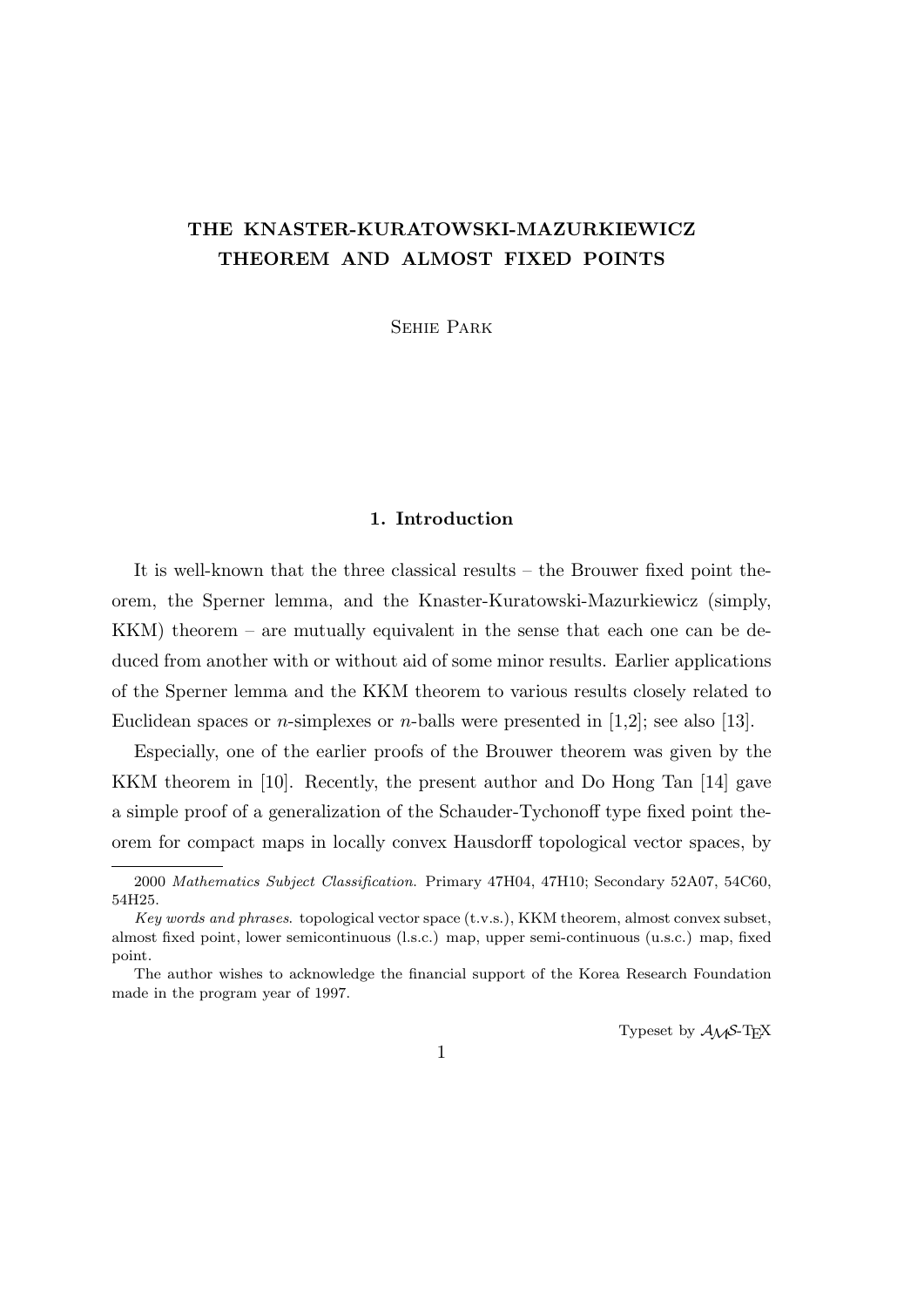# **THE KNASTER-KURATOWSKI-MAZURKIEWICZ THEOREM AND ALMOST FIXED POINTS**

Sehie Park

## **1. Introduction**

It is well-known that the three classical results – the Brouwer fixed point theorem, the Sperner lemma, and the Knaster-Kuratowski-Mazurkiewicz (simply, KKM) theorem – are mutually equivalent in the sense that each one can be deduced from another with or without aid of some minor results. Earlier applications of the Sperner lemma and the KKM theorem to various results closely related to Euclidean spaces or *n*-simplexes or *n*-balls were presented in [1,2]; see also [13].

Especially, one of the earlier proofs of the Brouwer theorem was given by the KKM theorem in [10]. Recently, the present author and Do Hong Tan [14] gave a simple proof of a generalization of the Schauder-Tychonoff type fixed point theorem for compact maps in locally convex Hausdorff topological vector spaces, by

Typeset by  $A_{\mathcal{M}}S$ -T<sub>E</sub>X

<sup>2000</sup> *Mathematics Subject Classification*. Primary 47H04, 47H10; Secondary 52A07, 54C60, 54H25.

*Key words and phrases*. topological vector space (t.v.s.), KKM theorem, almost convex subset, almost fixed point, lower semicontinuous (l.s.c.) map, upper semi-continuous (u.s.c.) map, fixed point.

The author wishes to acknowledge the financial support of the Korea Research Foundation made in the program year of 1997.

<sup>1</sup>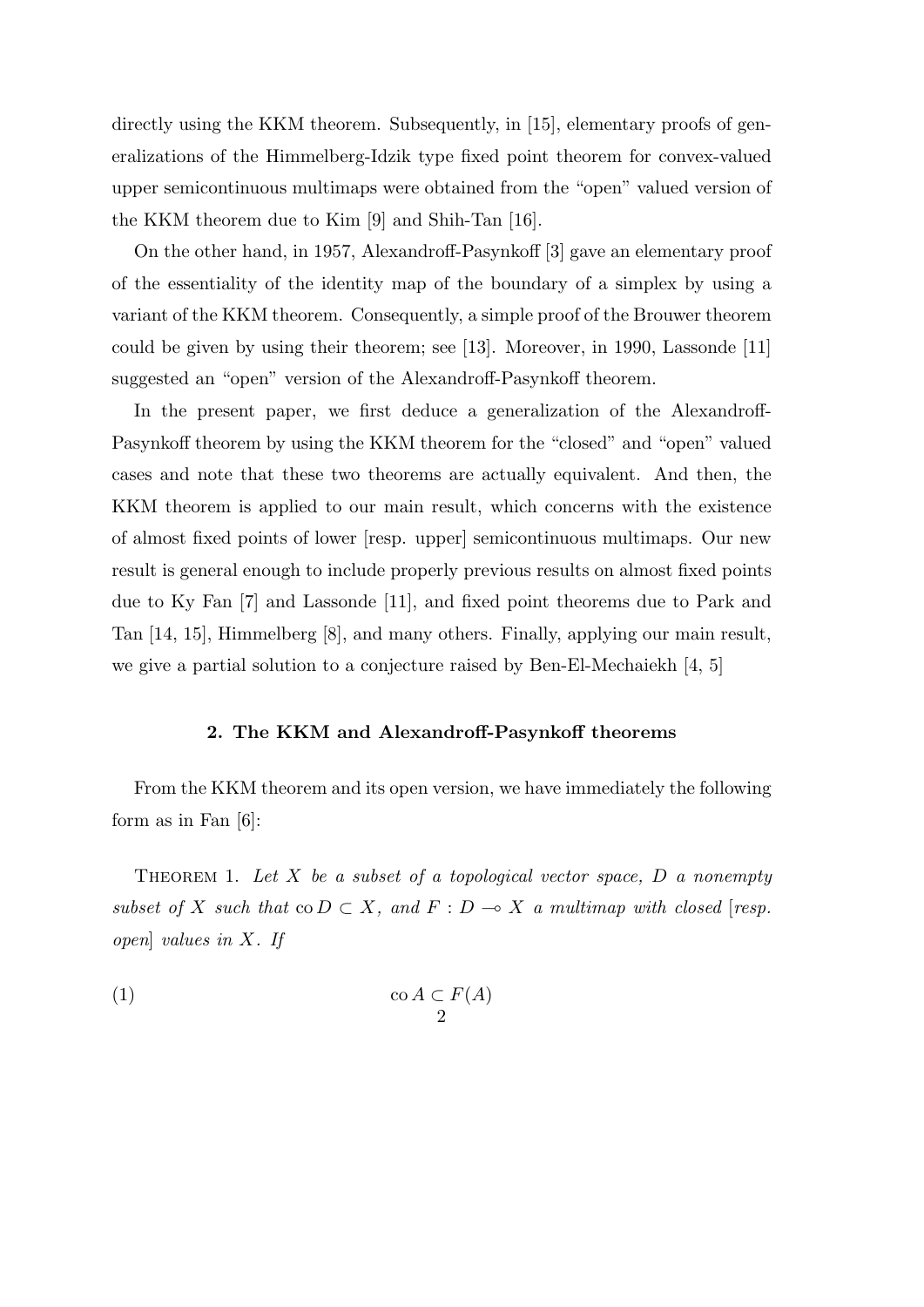directly using the KKM theorem. Subsequently, in [15], elementary proofs of generalizations of the Himmelberg-Idzik type fixed point theorem for convex-valued upper semicontinuous multimaps were obtained from the "open" valued version of the KKM theorem due to Kim [9] and Shih-Tan [16].

On the other hand, in 1957, Alexandroff-Pasynkoff [3] gave an elementary proof of the essentiality of the identity map of the boundary of a simplex by using a variant of the KKM theorem. Consequently, a simple proof of the Brouwer theorem could be given by using their theorem; see [13]. Moreover, in 1990, Lassonde [11] suggested an "open" version of the Alexandroff-Pasynkoff theorem.

In the present paper, we first deduce a generalization of the Alexandroff-Pasynkoff theorem by using the KKM theorem for the "closed" and "open" valued cases and note that these two theorems are actually equivalent. And then, the KKM theorem is applied to our main result, which concerns with the existence of almost fixed points of lower [resp. upper] semicontinuous multimaps. Our new result is general enough to include properly previous results on almost fixed points due to Ky Fan [7] and Lassonde [11], and fixed point theorems due to Park and Tan [14, 15], Himmelberg [8], and many others. Finally, applying our main result, we give a partial solution to a conjecture raised by Ben-El-Mechaiekh  $[4, 5]$ 

### **2. The KKM and Alexandroff-Pasynkoff theorems**

From the KKM theorem and its open version, we have immediately the following form as in Fan  $[6]$ :

Theorem 1. *Let X be a subset of a topological vector space, D a nonempty subset of X such that*  $\text{co } D \subset X$ *, and*  $F: D \to X$  *a multimap with closed* [*resp. open*] *values in X. If*

(1) co *A ⊂ F*(*A*) 2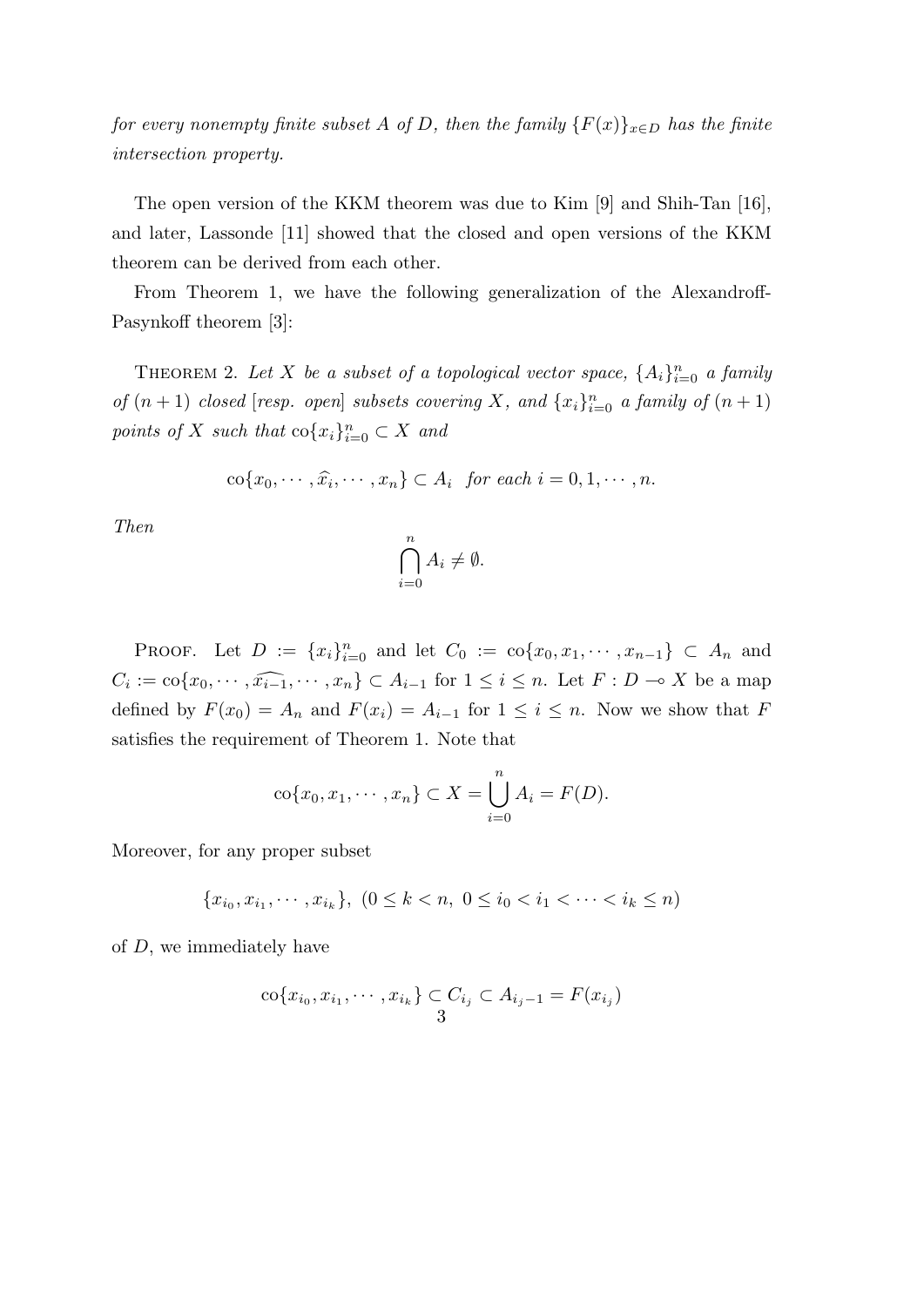*for every nonempty finite subset A of D, then the family*  ${F(x)}_{x \in D}$  *has the finite intersection property.*

The open version of the KKM theorem was due to Kim [9] and Shih-Tan [16], and later, Lassonde [11] showed that the closed and open versions of the KKM theorem can be derived from each other.

From Theorem 1, we have the following generalization of the Alexandroff-Pasynkoff theorem [3]:

THEOREM 2. Let *X* be a subset of a topological vector space,  $\{A_i\}_{i=0}^n$  a family *of*  $(n + 1)$  *closed* [*resp. open*] *subsets covering X, and*  $\{x_i\}_{i=0}^n$  *a family of*  $(n + 1)$ *points of X such that*  $\text{co}\lbrace x_i \rbrace_{i=0}^n \subset X$  *and* 

$$
\operatorname{co}\{x_0,\cdots,\widehat{x_i},\cdots,x_n\}\subset A_i\ \ \text{for each}\ i=0,1,\cdots,n.
$$

*Then*

$$
\bigcap_{i=0}^{n} A_i \neq \emptyset.
$$

PROOF. Let  $D := \{x_i\}_{i=0}^n$  and let  $C_0 := \text{co}\{x_0, x_1, \dots, x_{n-1}\} \subset A_n$  and  $C_i := \text{co}\{x_0, \dots, \widehat{x_{i-1}}, \dots, x_n\} \subset A_{i-1}$  for  $1 \leq i \leq n$ . Let  $F : D \to X$  be a map defined by  $F(x_0) = A_n$  and  $F(x_i) = A_{i-1}$  for  $1 \leq i \leq n$ . Now we show that *F* satisfies the requirement of Theorem 1. Note that

$$
\text{co}\{x_0, x_1, \cdots, x_n\} \subset X = \bigcup_{i=0}^n A_i = F(D).
$$

Moreover, for any proper subset

$$
\{x_{i_0}, x_{i_1}, \cdots, x_{i_k}\}, (0 \le k < n, 0 \le i_0 < i_1 < \cdots < i_k \le n)
$$

of *D*, we immediately have

$$
\operatorname{co}\{x_{i_0}, x_{i_1}, \cdots, x_{i_k}\} \subset C_{i_j} \subset A_{i_j - 1} = F(x_{i_j})
$$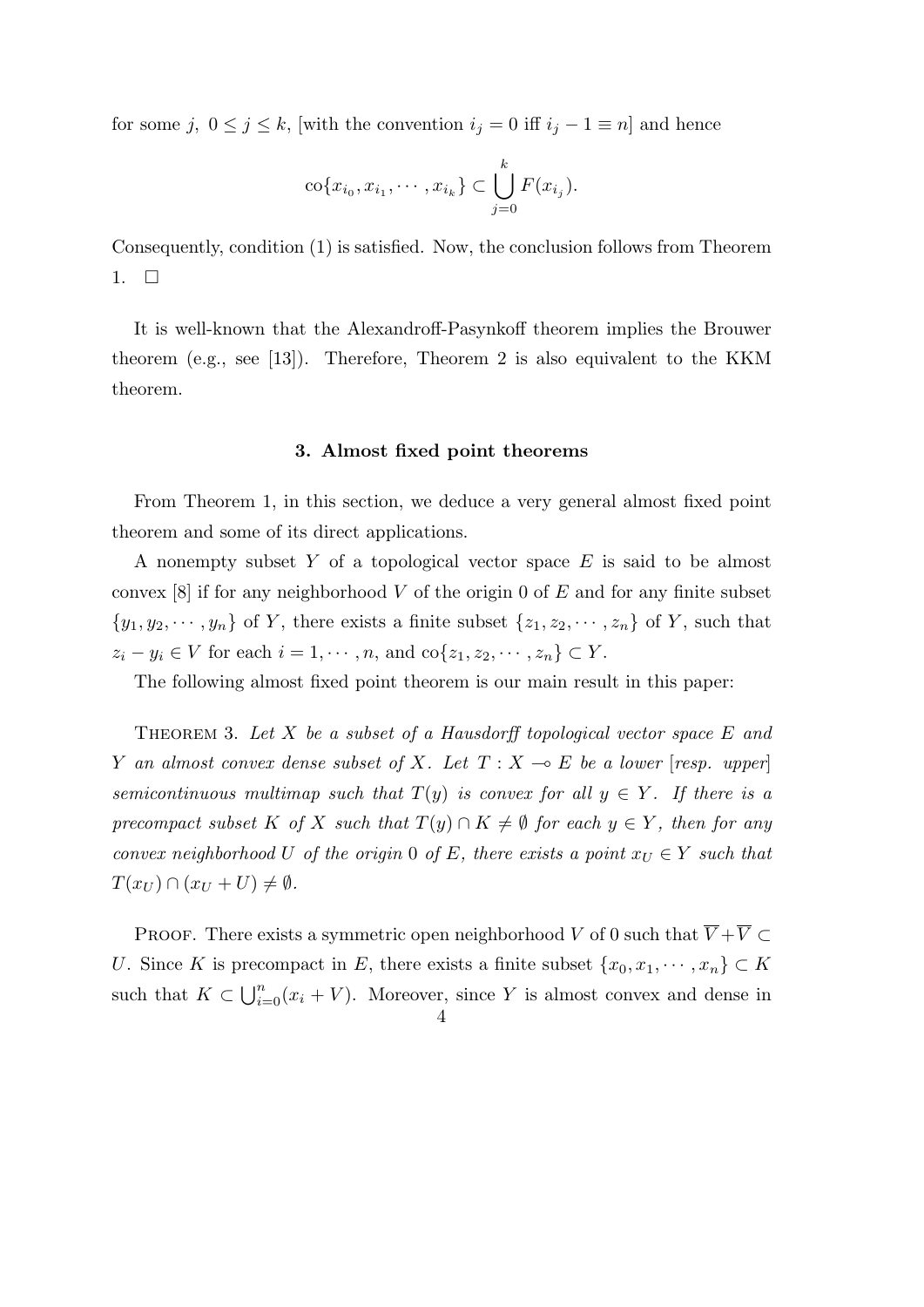for some  $j$ ,  $0 \leq j \leq k$ , [with the convention  $i_j = 0$  iff  $i_j - 1 \equiv n$ ] and hence

$$
\text{co}\{x_{i_0}, x_{i_1}, \cdots, x_{i_k}\} \subset \bigcup_{j=0}^k F(x_{i_j}).
$$

Consequently, condition (1) is satisfied. Now, the conclusion follows from Theorem 1.  $\Box$ 

It is well-known that the Alexandroff-Pasynkoff theorem implies the Brouwer theorem (e.g., see [13]). Therefore, Theorem 2 is also equivalent to the KKM theorem.

#### **3. Almost fixed point theorems**

From Theorem 1, in this section, we deduce a very general almost fixed point theorem and some of its direct applications.

A nonempty subset *Y* of a topological vector space *E* is said to be almost convex [8] if for any neighborhood *V* of the origin 0 of *E* and for any finite subset  $\{y_1, y_2, \dots, y_n\}$  of *Y*, there exists a finite subset  $\{z_1, z_2, \dots, z_n\}$  of *Y*, such that  $z_i - y_i \in V$  for each  $i = 1, \dots, n$ , and  $\text{co}\{z_1, z_2, \dots, z_n\} \subset Y$ .

The following almost fixed point theorem is our main result in this paper:

Theorem 3. *Let X be a subset of a Hausdorff topological vector space E and Y an almost convex dense subset of X. Let*  $T: X \rightarrow E$  *be a lower* [*resp. upper*] *semicontinuous multimap such that*  $T(y)$  *is convex for all*  $y \in Y$ *. If there is a precompact subset K of X such that*  $T(y) \cap K \neq \emptyset$  *for each*  $y \in Y$ *, then for any convex neighborhood U of the origin* 0 *of E, there exists a point*  $x_U \in Y$  *such that*  $T(x_U) \cap (x_U + U) \neq \emptyset$ .

PROOF. There exists a symmetric open neighborhood *V* of 0 such that  $\overline{V} + \overline{V} \subset$ *U*. Since *K* is precompact in *E*, there exists a finite subset  $\{x_0, x_1, \dots, x_n\} \subset K$ such that  $K \subset \bigcup_{i=0}^{n} (x_i + V)$ . Moreover, since *Y* is almost convex and dense in  $\Delta$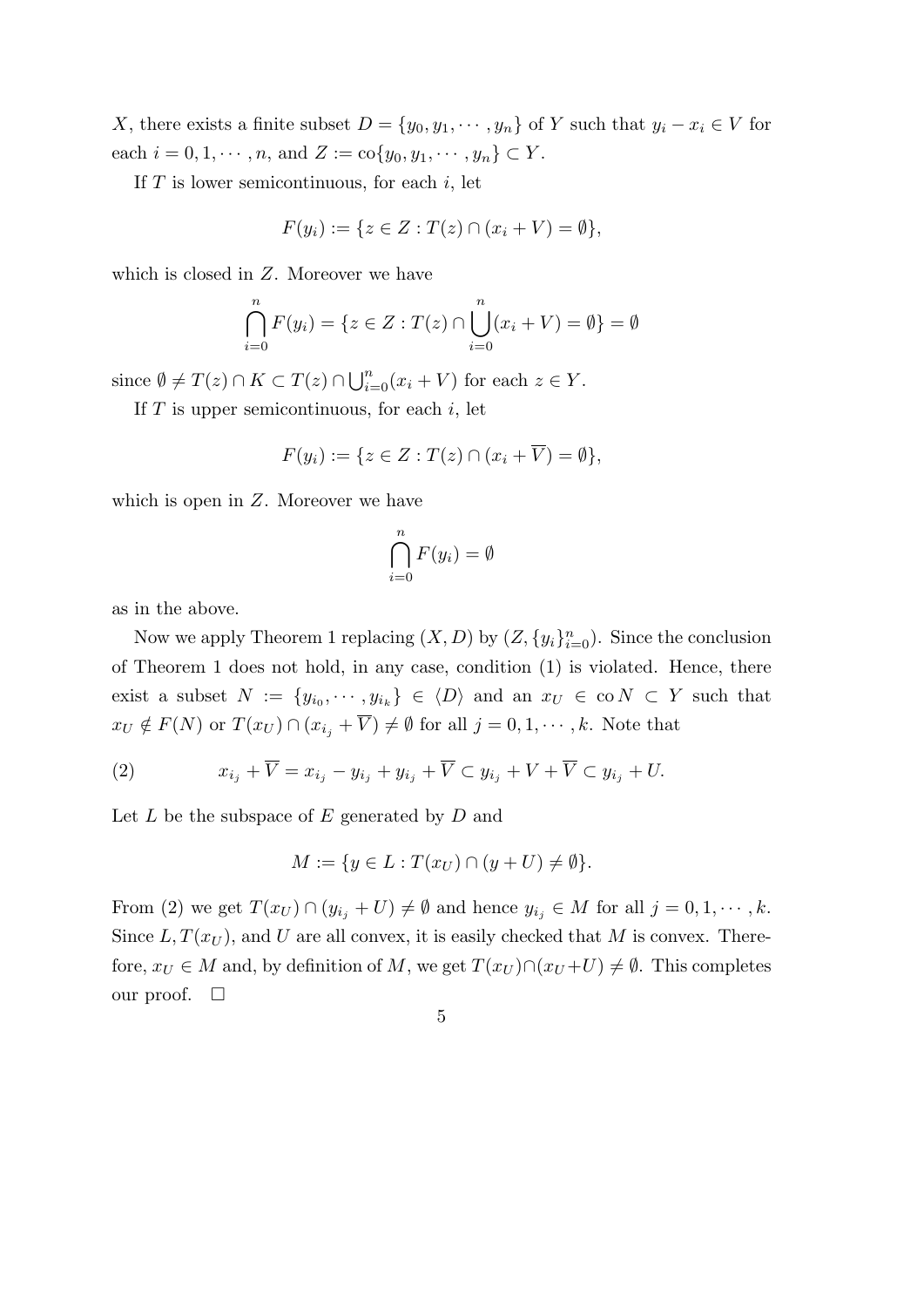*X*, there exists a finite subset  $D = \{y_0, y_1, \dots, y_n\}$  of *Y* such that  $y_i - x_i \in V$  for each  $i = 0, 1, \dots, n$ , and  $Z := \text{co} \{y_0, y_1, \dots, y_n\} \subset Y$ .

If *T* is lower semicontinuous, for each *i*, let

$$
F(y_i) := \{ z \in Z : T(z) \cap (x_i + V) = \emptyset \},\
$$

which is closed in *Z*. Moreover we have

$$
\bigcap_{i=0}^{n} F(y_i) = \{ z \in Z : T(z) \cap \bigcup_{i=0}^{n} (x_i + V) = \emptyset \} = \emptyset
$$

since  $\emptyset \neq T(z) \cap K \subset T(z) \cap \bigcup_{i=0}^{n} (x_i + V)$  for each  $z \in Y$ .

If *T* is upper semicontinuous, for each *i*, let

$$
F(y_i) := \{ z \in Z : T(z) \cap (x_i + \overline{V}) = \emptyset \},
$$

which is open in *Z*. Moreover we have

$$
\bigcap_{i=0}^{n} F(y_i) = \emptyset
$$

as in the above.

Now we apply Theorem 1 replacing  $(X, D)$  by  $(Z, \{y_i\}_{i=0}^n)$ . Since the conclusion of Theorem 1 does not hold, in any case, condition (1) is violated. Hence, there exist a subset  $N := \{y_{i_0}, \dots, y_{i_k}\} \in \langle D \rangle$  and an  $x_U \in \text{co } N \subset Y$  such that  $x_U \notin F(N)$  or  $T(x_U) \cap (x_{i_j} + \overline{V}) \neq \emptyset$  for all  $j = 0, 1, \dots, k$ . Note that

(2) 
$$
x_{i_j} + \overline{V} = x_{i_j} - y_{i_j} + y_{i_j} + \overline{V} \subset y_{i_j} + V + \overline{V} \subset y_{i_j} + U.
$$

Let *L* be the subspace of *E* generated by *D* and

$$
M := \{ y \in L : T(x_U) \cap (y + U) \neq \emptyset \}.
$$

From (2) we get  $T(x_U) \cap (y_{i_j} + U) \neq \emptyset$  and hence  $y_{i_j} \in M$  for all  $j = 0, 1, \dots, k$ . Since  $L, T(x_U)$ , and U are all convex, it is easily checked that M is convex. Therefore,  $x_U \in M$  and, by definition of M, we get  $T(x_U) \cap (x_U + U) \neq \emptyset$ . This completes our proof.  $\Box$ 

$$
\overline{5}
$$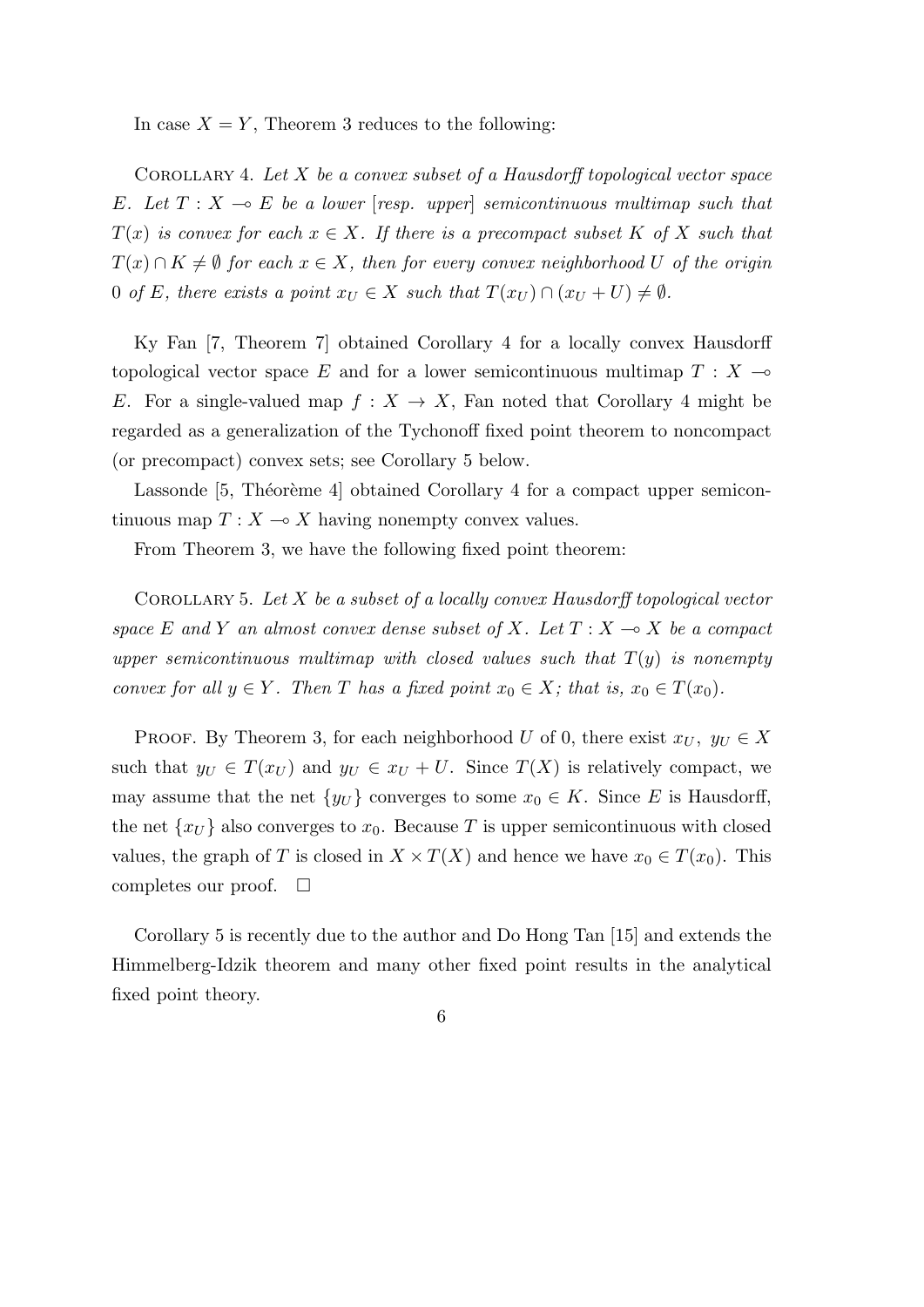In case  $X = Y$ , Theorem 3 reduces to the following:

Corollary 4. *Let X be a convex subset of a Hausdorff topological vector space E.* Let  $T: X \to E$  be a lower [resp. upper] semicontinuous multimap such that  $T(x)$  *is convex for each*  $x \in X$ *. If there is a precompact subset*  $K$  *of*  $X$  *such that*  $T(x) \cap K \neq \emptyset$  for each  $x \in X$ , then for every convex neighborhood U of the origin 0 *of E*, there exists a point  $x_U \in X$  such that  $T(x_U) \cap (x_U + U) \neq \emptyset$ .

Ky Fan [7, Theorem 7] obtained Corollary 4 for a locally convex Hausdorff topological vector space E and for a lower semicontinuous multimap  $T : X \rightarrow$ *E*. For a single-valued map  $f: X \to X$ , Fan noted that Corollary 4 might be regarded as a generalization of the Tychonoff fixed point theorem to noncompact (or precompact) convex sets; see Corollary 5 below.

Lassonde [5, Théorème 4] obtained Corollary 4 for a compact upper semicontinuous map  $T: X \to X$  having nonempty convex values.

From Theorem 3, we have the following fixed point theorem:

Corollary 5. *Let X be a subset of a locally convex Hausdorff topological vector space*  $E$  *and*  $Y$  *an almost convex dense subset of*  $X$ *. Let*  $T : X \rightarrow X$  *be a compact upper semicontinuous multimap with closed values such that T*(*y*) *is nonempty convex for all*  $y \in Y$ *. Then T has a fixed point*  $x_0 \in X$ *; that is,*  $x_0 \in T(x_0)$ *.* 

PROOF. By Theorem 3, for each neighborhood *U* of 0, there exist  $x_U$ ,  $y_U \in X$ such that  $y_U \in T(x_U)$  and  $y_U \in x_U + U$ . Since  $T(X)$  is relatively compact, we may assume that the net  $\{y_U\}$  converges to some  $x_0 \in K$ . Since *E* is Hausdorff, the net  $\{x_U\}$  also converges to  $x_0$ . Because T is upper semicontinuous with closed values, the graph of *T* is closed in  $X \times T(X)$  and hence we have  $x_0 \in T(x_0)$ . This completes our proof.  $\square$ 

Corollary 5 is recently due to the author and Do Hong Tan [15] and extends the Himmelberg-Idzik theorem and many other fixed point results in the analytical fixed point theory.

## 6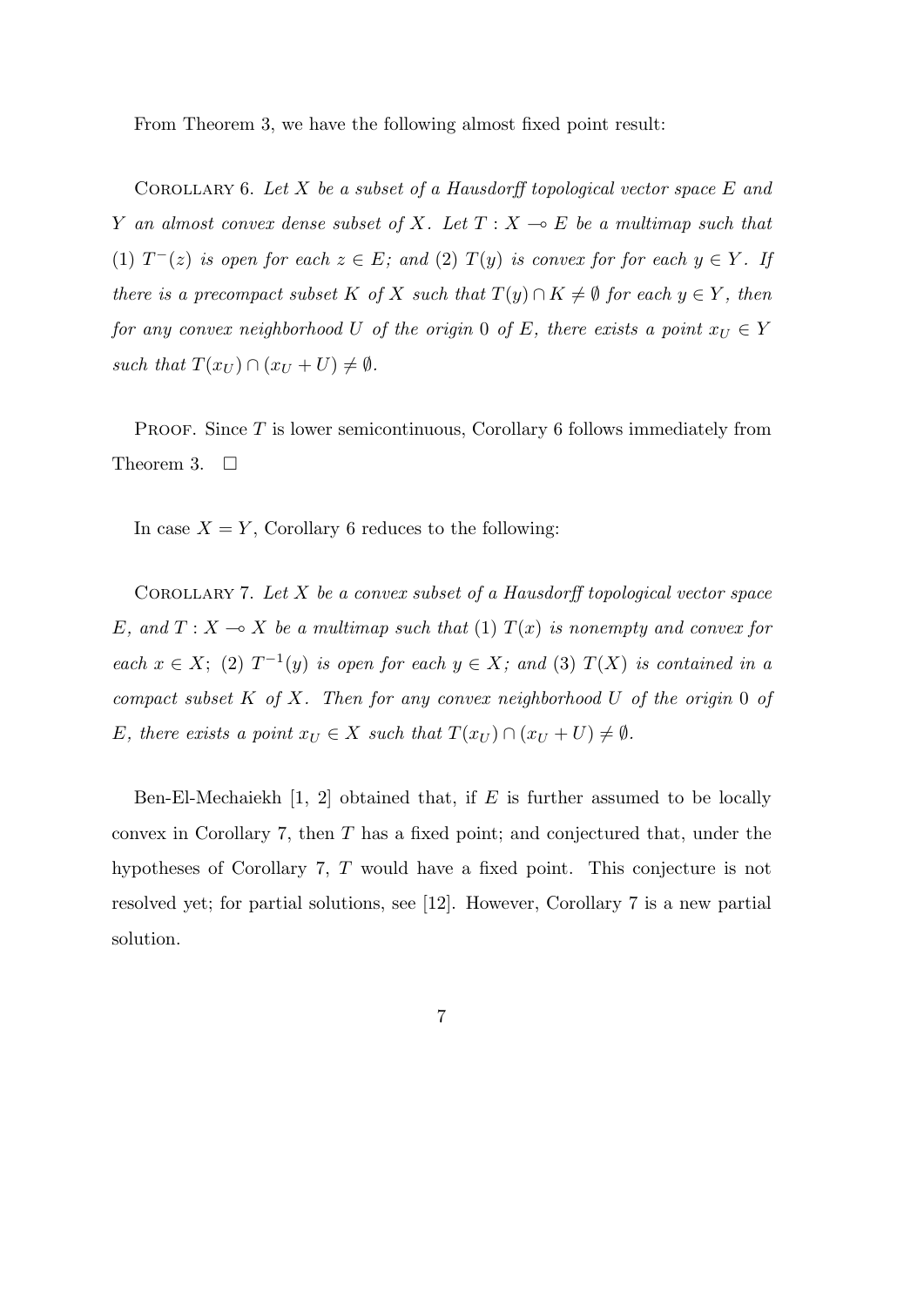From Theorem 3, we have the following almost fixed point result:

Corollary 6. *Let X be a subset of a Hausdorff topological vector space E and Y* an almost convex dense subset of *X.* Let  $T: X \rightarrow E$  be a multimap such that (1)  $T^-(z)$  *is open for each*  $z \in E$ ; and (2)  $T(y)$  *is convex for for each*  $y \in Y$ *. If there is a precompact subset K of X such that*  $T(y) \cap K \neq \emptyset$  *for each*  $y \in Y$ *, then for any convex neighborhood U of the origin* 0 *of E, there exists a point*  $x_U \in Y$ *such that*  $T(x_U) \cap (x_U + U) \neq \emptyset$ .

PROOF. Since T is lower semicontinuous, Corollary 6 follows immediately from Theorem 3.  $\Box$ 

In case  $X = Y$ , Corollary 6 reduces to the following:

Corollary 7. *Let X be a convex subset of a Hausdorff topological vector space E*, and  $T: X \to X$  be a multimap such that (1)  $T(x)$  is nonempty and convex for *each*  $x \in X$ ; (2)  $T^{-1}(y)$  *is open for each*  $y \in X$ *; and* (3)  $T(X)$  *is contained in a compact subset K of X. Then for any convex neighborhood U of the origin* 0 *of E, there exists a point*  $x_U \in X$  *such that*  $T(x_U) \cap (x_U + U) \neq \emptyset$ *.* 

Ben-El-Mechaiekh [1, 2] obtained that, if *E* is further assumed to be locally convex in Corollary 7, then *T* has a fixed point; and conjectured that, under the hypotheses of Corollary 7, *T* would have a fixed point. This conjecture is not resolved yet; for partial solutions, see [12]. However, Corollary 7 is a new partial solution.